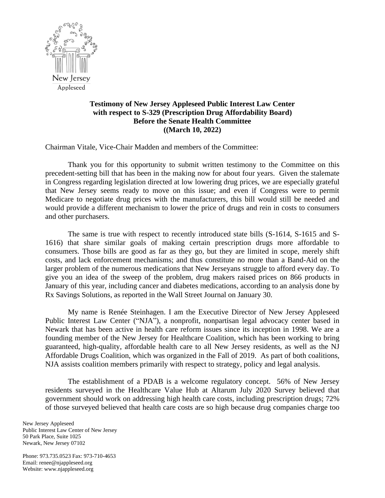

## **Testimony of New Jersey Appleseed Public Interest Law Center with respect to S-329 (Prescription Drug Affordability Board) Before the Senate Health Committee ((March 10, 2022)**

Chairman Vitale, Vice-Chair Madden and members of the Committee:

Thank you for this opportunity to submit written testimony to the Committee on this precedent-setting bill that has been in the making now for about four years. Given the stalemate in Congress regarding legislation directed at low lowering drug prices, we are especially grateful that New Jersey seems ready to move on this issue; and even if Congress were to permit Medicare to negotiate drug prices with the manufacturers, this bill would still be needed and would provide a different mechanism to lower the price of drugs and rein in costs to consumers and other purchasers.

The same is true with respect to recently introduced state bills (S-1614, S-1615 and S-1616) that share similar goals of making certain prescription drugs more affordable to consumers. Those bills are good as far as they go, but they are limited in scope, merely shift costs, and lack enforcement mechanisms; and thus constitute no more than a Band-Aid on the larger problem of the numerous medications that New Jerseyans struggle to afford every day. To give you an idea of the sweep of the problem, drug makers raised prices on 866 products in January of this year, including cancer and diabetes medications, according to an analysis done by Rx Savings Solutions, as reported in the Wall Street Journal on January 30.

My name is Renée Steinhagen. I am the Executive Director of New Jersey Appleseed Public Interest Law Center ("NJA"), a nonprofit, nonpartisan legal advocacy center based in Newark that has been active in health care reform issues since its inception in 1998. We are a founding member of the New Jersey for Healthcare Coalition, which has been working to bring guaranteed, high-quality, affordable health care to all New Jersey residents, as well as the NJ Affordable Drugs Coalition, which was organized in the Fall of 2019. As part of both coalitions, NJA assists coalition members primarily with respect to strategy, policy and legal analysis.

The establishment of a PDAB is a welcome regulatory concept. 56% of New Jersey residents surveyed in the Healthcare Value Hub at Altarum July 2020 Survey believed that government should work on addressing high health care costs, including prescription drugs; 72% of those surveyed believed that health care costs are so high because drug companies charge too

New Jersey Appleseed Public Interest Law Center of New Jersey 50 Park Place, Suite 1025 Newark, New Jersey 07102

Phone: 973.735.0523 Fax: 973-710-4653 Email: renee@njappleseed.org Website: www.njappleseed.org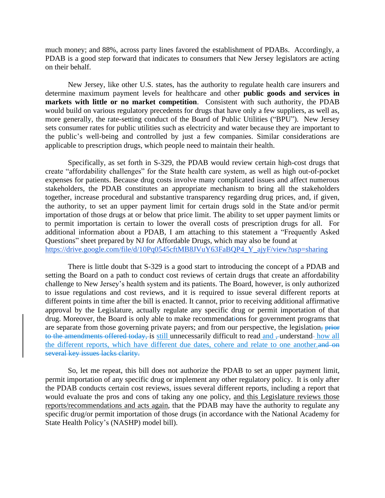much money; and 88%, across party lines favored the establishment of PDABs. Accordingly, a PDAB is a good step forward that indicates to consumers that New Jersey legislators are acting on their behalf.

New Jersey, like other U.S. states, has the authority to regulate health care insurers and determine maximum payment levels for healthcare and other **public goods and services in markets with little or no market competition**. Consistent with such authority, the PDAB would build on various regulatory precedents for drugs that have only a few suppliers, as well as, more generally, the rate-setting conduct of the Board of Public Utilities ("BPU"). New Jersey sets consumer rates for public utilities such as electricity and water because they are important to the public's well-being and controlled by just a few companies. Similar considerations are applicable to prescription drugs, which people need to maintain their health.

Specifically, as set forth in S-329, the PDAB would review certain high-cost drugs that create "affordability challenges" for the State health care system, as well as high out-of-pocket expenses for patients. Because drug costs involve many complicated issues and affect numerous stakeholders, the PDAB constitutes an appropriate mechanism to bring all the stakeholders together, increase procedural and substantive transparency regarding drug prices, and, if given, the authority, to set an upper payment limit for certain drugs sold in the State and/or permit importation of those drugs at or below that price limit. The ability to set upper payment limits or to permit importation is certain to lower the overall costs of prescription drugs for all. For additional information about a PDAB, I am attaching to this statement a "Frequently Asked Questions" sheet prepared by NJ for Affordable Drugs, which may also be found at [https://drive.google.com/file/d/10Pq0545cftMB8JVuY63FaBQP4\\_Y\\_ajyF/view?usp=sharing](https://drive.google.com/file/d/10Pq0545cftMB8JVuY63FaBQP4_Y_ajyF/view?usp=sharing)

There is little doubt that S-329 is a good start to introducing the concept of a PDAB and setting the Board on a path to conduct cost reviews of certain drugs that create an affordability challenge to New Jersey's health system and its patients. The Board, however, is only authorized to issue regulations and cost reviews, and it is required to issue several different reports at different points in time after the bill is enacted. It cannot, prior to receiving additional affirmative approval by the Legislature, actually regulate any specific drug or permit importation of that drug. Moreover, the Board is only able to make recommendations for government programs that are separate from those governing private payers; and from our perspective, the legislation, prior to the amendments offered today, is still unnecessarily difficult to read and , understand- how all the different reports, which have different due dates, cohere and relate to one another. several key issues lacks clarity.

So, let me repeat, this bill does not authorize the PDAB to set an upper payment limit, permit importation of any specific drug or implement any other regulatory policy. It is only after the PDAB conducts certain cost reviews, issues several different reports, including a report that would evaluate the pros and cons of taking any one policy, and this Legislature reviews those reports/recommendations and acts again, that the PDAB may have the authority to regulate any specific drug/or permit importation of those drugs (in accordance with the National Academy for State Health Policy's (NASHP) model bill).